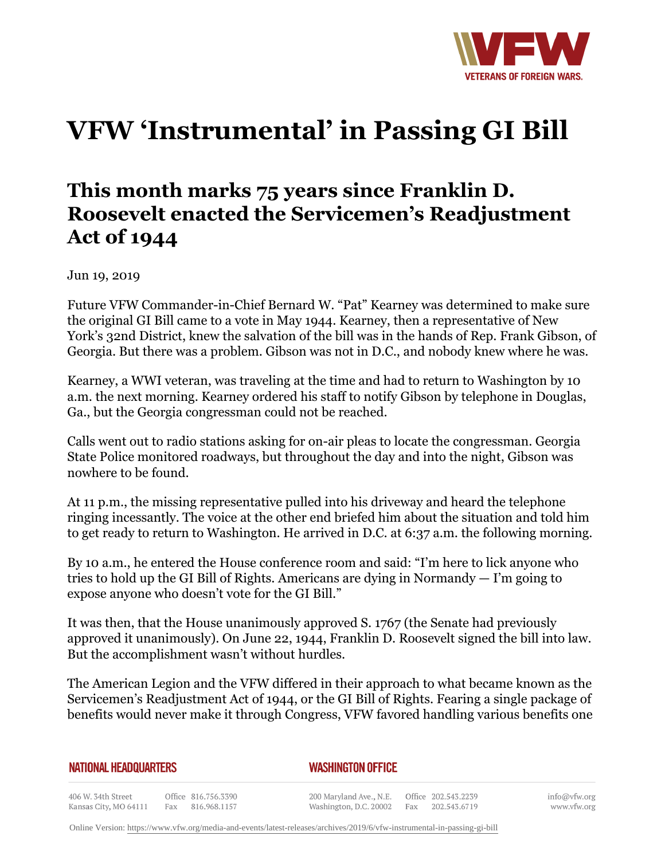

## **VFW 'Instrumental' in Passing GI Bill**

## **This month marks 75 years since Franklin D. Roosevelt enacted the Servicemen's Readjustment Act of 1944**

Jun 19, 2019

Future VFW Commander-in-Chief Bernard W. "Pat" Kearney was determined to make sure the original GI Bill came to a vote in May 1944. Kearney, then a representative of New York's 32nd District, knew the salvation of the bill was in the hands of Rep. Frank Gibson, of Georgia. But there was a problem. Gibson was not in D.C., and nobody knew where he was.

Kearney, a WWI veteran, was traveling at the time and had to return to Washington by 10 a.m. the next morning. Kearney ordered his staff to notify Gibson by telephone in Douglas, Ga., but the Georgia congressman could not be reached.

Calls went out to radio stations asking for on-air pleas to locate the congressman. Georgia State Police monitored roadways, but throughout the day and into the night, Gibson was nowhere to be found.

At 11 p.m., the missing representative pulled into his driveway and heard the telephone ringing incessantly. The voice at the other end briefed him about the situation and told him to get ready to return to Washington. He arrived in D.C. at 6:37 a.m. the following morning.

By 10 a.m., he entered the House conference room and said: "I'm here to lick anyone who tries to hold up the GI Bill of Rights. Americans are dying in Normandy — I'm going to expose anyone who doesn't vote for the GI Bill."

It was then, that the House unanimously approved S. 1767 (the Senate had previously approved it unanimously). On June 22, 1944, Franklin D. Roosevelt signed the bill into law. But the accomplishment wasn't without hurdles.

The American Legion and the VFW differed in their approach to what became known as the Servicemen's Readjustment Act of 1944, or the GI Bill of Rights. Fearing a single package of benefits would never make it through Congress, VFW favored handling various benefits one

## **NATIONAL HEADQUARTERS**

## *WASHINGTON OFFICE*

406 W. 34th Street Office 816.756.3390 Kansas City, MO 64111 Fax 816.968.1157

200 Maryland Ave., N.E. Washington, D.C. 20002 Fax

Office 202.543.2239 202.543.6719 info@vfw.org www.vfw.org

Online Version:<https://www.vfw.org/media-and-events/latest-releases/archives/2019/6/vfw-instrumental-in-passing-gi-bill>